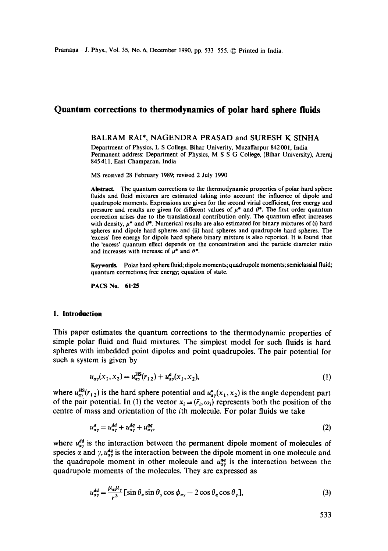# **Quantum corrections to thermodynamics of polar hard sphere fluids**

# BALRAM RAI\*, NAGENDRA PRASAD and SURESH K SINHA

Department of Physics, L S College, Bihar Univerity, Muzaffarpur 842001, India Permanent address: Department of Physics, M S S G College, (Bihar University), Areraj 845 411, East Champaran, India

MS received 28 February 1989; revised 2 July 1990

**Abstract.** The quantum corrections to the thermodynamic properties of polar hard sphere fluids and fluid mixtures are estimated taking into account the influence of dipole and quadrupole moments. Expressions are given for the second virial coefficient, free energy and pressure and results are given for different values of  $\mu^*$  and  $\theta^*$ . The first order quantum correction arises due to the translational contribution only. The quantum effect increases with density,  $\mu^*$  and  $\theta^*$ . Numerical results are also estimated for binary mixtures of (i) hard spheres and dipole hard spheres and (ii) hard spheres and quadrupole hard spheres. The 'excess' free energy for dipole hard sphere binary mixture is also reported. It is found that the 'excess' quantum effect depends on the concentration and the particle diameter ratio and increases with increase of  $\mu^*$  and  $\theta^*$ .

**Keywords.** Polar hard sphere fluid; dipole moments; quadrupole moments; semiclassial fluid; quantum corrections; free energy; equation of state.

**PACS No. 61.25** 

# **1. Introduction**

This paper estimates the quantum corrections to the thermodynamic properties of simple polar fluid and fluid mixtures. The simplest model for such fluids is hard spheres with imbedded point dipoles and point quadrupoles. The pair potential for such a system is given by

$$
u_{\alpha\gamma}(x_1, x_2) = u_{\alpha\gamma}^{\text{HS}}(r_{12}) + u_{\alpha\gamma}^a(x_1, x_2),
$$
\n(1)

where  $u_{\alpha y}^{\text{HS}}(r_{12})$  is the hard sphere potential and  $u_{\alpha y}^a(x_1, x_2)$  is the angle dependent part of the pair potential. In (1) the vector  $x_i \equiv (\bar{r}_i, \omega_i)$  represents both the position of the centre of mass and orientation of the ith molecule. For polar fluids we take

$$
u_{\alpha\gamma}^a = u_{\alpha\gamma}^{dd} + u_{\alpha\gamma}^{dq} + u_{\alpha\gamma}^{qq},\tag{2}
$$

where  $u_{\alpha}^{aa}$  is the interaction between the permanent dipole moment of molecules of species  $\alpha$  and  $\gamma$ ,  $u_{xy}^{aq}$  is the interaction between the dipole moment in one molecule and the quadrupole moment in other molecule and  $u_{\alpha y}^{qq}$  is the interaction between the quadrupole moments of the molecules. They are expressed as

$$
u_{\alpha\gamma}^{dd} = \frac{\mu_{\alpha}\mu_{\gamma}}{r^3} \left[ \sin \theta_{\alpha} \sin \theta_{\gamma} \cos \phi_{\alpha\gamma} - 2 \cos \theta_{\alpha} \cos \theta_{\gamma} \right],
$$
 (3)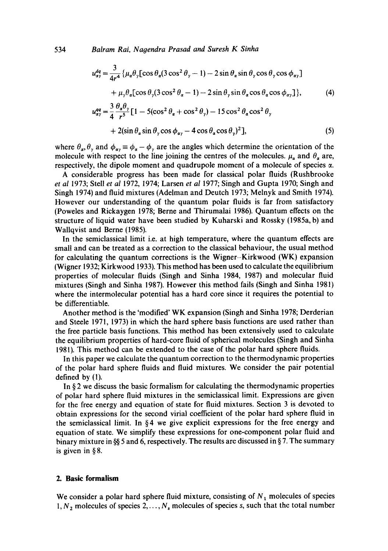$$
u_{\alpha\gamma}^{dq} = \frac{3}{4r^4} \{ \mu_{\alpha}\theta_{\gamma}[\cos\theta_{\alpha}(3\cos^2\theta_{\gamma} - 1) - 2\sin\theta_{\alpha}\sin\theta_{\gamma}\cos\theta_{\gamma}\cos\phi_{\alpha\gamma}]
$$
  
+  $\mu_{\gamma}\theta_{\alpha}[\cos\theta_{\gamma}(3\cos^2\theta_{\alpha} - 1) - 2\sin\theta_{\gamma}\sin\theta_{\alpha}\cos\theta_{\alpha}\cos\phi_{\alpha\gamma}] \},$   

$$
u_{\alpha\gamma}^{qq} = \frac{3}{4} \frac{\theta_{\alpha}\theta_{\gamma}}{r^5} [1 - 5(\cos^2\theta_{\alpha} + \cos^2\theta_{\gamma}) - 15\cos^2\theta_{\alpha}\cos^2\theta_{\gamma}]
$$
  
+  $2(\sin\theta_{\alpha}\sin\theta_{\gamma}\cos\phi_{\alpha\gamma} - 4\cos\theta_{\alpha}\cos\theta_{\gamma})^2],$  (5)

where  $\theta_{\alpha}, \theta_{\gamma}$  and  $\phi_{\alpha\gamma} \equiv \phi_{\alpha} - \phi_{\gamma}$  are the angles which determine the orientation of the molecule with respect to the line joining the centres of the molecules.  $\mu_{\alpha}$  and  $\theta_{\alpha}$  are, respectively, the dipole moment and quadrupole moment of a molecule of species  $\alpha$ .

A considerable progress has been made for classical polar fluids (Rushbrooke *et al* 1973; Stell *et al* 1972, 1974; Larsen *et al* 1977; Singh and Gupta 1970; Singh and Singh 1974) and fluid mixtures (Adelman and Deutch 1973; Melnyk and Smith 1974). However our understanding of the quantum polar fluids is far from satisfactory (Poweles and Rickaygen 1978; Berne and Thirumalai 1986). Quantum effects on the structure of liquid water have been studied by Kuharski and Rossky (1985a, b) and Wallqvist and Berne (1985).

In the semiclassical limit i.e. at high temperature, where the quantum effects are small and can be treated as a correction to the classical behaviour, the usual method for calculating the quantum corrections is the Wigner-Kirkwood (WK) expansion (Wigner 1932; Kirkwood 1933). This method has been used to calculate the equilibrium properties of molecular fluids (Singh and Sinha 1984, 1987) and molecular fluid mixtures (Singh and Sinha 1987). However this method fails (Singh and Sinha 1981) where the intermolecular potential has a hard core since it requires the potential to be differentiable.

Another method is the 'modified' WK expansion (Singh and Sinha 1978; Derderian and Steele 1971, 1973) in which the hard sphere basis functions are used rather than the free particle basis functions. This method has been extensively used to calculate the equilibrium properties of hard-core fluid of spherical molecules (Singh and Sinha 1981). This method can be extended to the case of the polar hard sphere fluids.

In this paper we calculate the quantum correction to the thermodynamic properties of the polar hard sphere fluids and fluid mixtures. We consider the pair potential defined by (1).

In § 2 we discuss the basic formalism for calculating the thermodynamic properties of polar hard sphere fluid mixtures in the semiclassical limit. Expressions are given for the free energy and equation of state for fluid mixtures. Section 3 is devoted to obtain expressions for the second virial coefficient of the polar hard sphere fluid in the semiclassical limit. In §4 we give explicit expressions for the free energy and equation of state. We simplify these expressions for one-component polar fluid and binary mixture in  $\frac{55}{5}$  and 6, respectively. The results are discussed in § 7. The summary is given in § 8.

#### **2. Basic formalism**

We consider a polar hard sphere fluid mixture, consisting of  $N_1$  molecules of species 1,  $N_2$  molecules of species 2, ...,  $N_s$  molecules of species s, such that the total number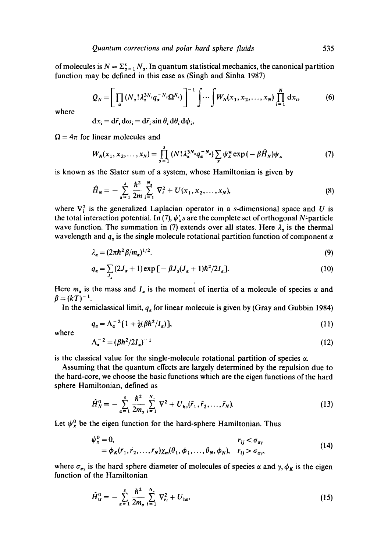of molecules is  $N = \sum_{\alpha=1}^{s} N_{\alpha}$ . In quantum statistical mechanics, the canonical partition function may be defined in this case as (Singh and Sinha 1987)

$$
Q_N = \left[ \prod_{\alpha} \left( N_{\alpha}! \lambda_{\alpha}^{3N_{\alpha}} q_{\alpha}^{-N_{\alpha}} \Omega^{N_{\alpha}} \right) \right]^{-1} \int \cdots \int W_N(x_1, x_2, \dots, x_N) \prod_{i=1}^N dx_i, \tag{6}
$$

where

$$
dx_i = d\bar{r}_i d\omega_i = d\bar{r}_i \sin \theta_i d\theta_i d\phi_i,
$$

 $\Omega = 4\pi$  for linear molecules and

$$
W_N(x_1, x_2,..., x_N) = \prod_{\alpha=1}^s (N! \lambda_{\alpha}^{3N_{\alpha}} q_{\alpha}^{-N_{\alpha}}) \sum_x \psi_x^* \exp(-\beta \hat{H}_N) \psi_x \tag{7}
$$

is known as the Slater sum of a system, whose Hamiltonian is given by

$$
\hat{H}_N = -\sum_{\alpha=1}^s \frac{\hbar^2}{2m} \sum_{i=1}^{N_s} \nabla_i^2 + U(x_1, x_2, \dots, x_N),
$$
\n(8)

where  $\nabla_i^2$  is the generalized Laplacian operator in a s-dimensional space and U is the total interaction potential. In (7),  $\psi'_x s$  are the complete set of orthogonal N<sup>1</sup> particle wave function. The summation in (7) extends over all states. Here  $\lambda_{\alpha}$  is the thermal wavelength and  $q_a$  is the single molecule rotational partition function of component  $\alpha$ 

$$
\lambda_a = (2\pi\hbar^2 \beta/m_a)^{1/2}.
$$
\n(9)

$$
q_{\alpha} = \sum_{J_{\alpha}} (2J_{\alpha} + 1) \exp \left[ -\beta J_{\alpha} (J_{\alpha} + 1) \hbar^2 / 2I_{\alpha} \right].
$$
 (10)

Here  $m_{\alpha}$  is the mass and  $I_{\alpha}$  is the moment of inertia of a molecule of species  $\alpha$  and  $\beta = (kT)^{-1}$ .

In the semiclassical limit,  $q_a$  for linear molecule is given by (Gray and Gubbin 1984)

$$
q_a = \Lambda_a^{-2} [1 + \frac{1}{6} (\beta \hbar^2 / I_a)], \tag{11}
$$

where

$$
\Lambda_a^{-2} = (\beta h^2 / 2I_a)^{-1} \tag{12}
$$

is the classical value for the single-molecule rotational partition of species  $\alpha$ .

Assuming that the quantum effects are largely determined by the repulsion due to the hard-core, we choose the basic functions which are the eigen functions of the hard sphere Hamiltonian, defined as

$$
\hat{H}_N^0 = -\sum_{\alpha=1}^s \frac{\hbar^2}{2m_\alpha} \sum_{i=1}^{N_s} \nabla^2 + U_{\rm hs}(\bar{r}_1, \bar{r}_2, \dots, \bar{r}_N). \tag{13}
$$

Let  $\psi_x^0$  be the eigen function for the hard-sphere Hamiltonian. Thus

$$
\psi_x^0 = 0, \qquad r_{ij} < \sigma_{\alpha\gamma}
$$
  
=  $\phi_K(\bar{r}_1, \bar{r}_2, \dots, \bar{r}_N) \chi_m(\theta_1, \phi_1, \dots, \theta_N, \phi_N), \quad r_{ij} > \sigma_{\alpha\gamma},$  (14)

where  $\sigma_{xy}$  is the hard sphere diameter of molecules of species  $\alpha$  and  $\gamma$ ,  $\phi_K$  is the eigen function of the Hamiltonian

$$
\hat{H}_{tr}^{0} = -\sum_{\alpha=1}^{s} \frac{\hbar^2}{2m_{\alpha}} \sum_{i=1}^{N_s} \nabla_{r_i}^2 + U_{hs}, \qquad (15)
$$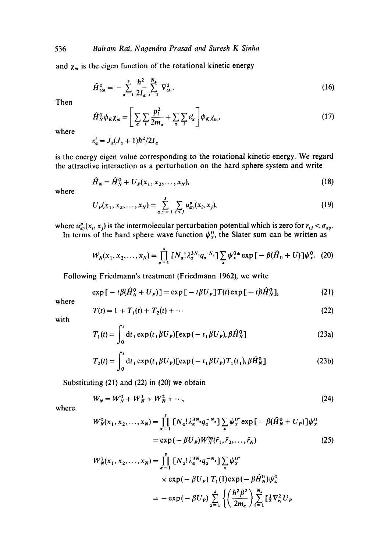and  $\chi_m$  is the eigen function of the rotational kinetic energy

$$
\widehat{H}_{\rm rot}^{0} = -\sum_{\alpha=1}^{s} \frac{\hbar^2}{2I_{\alpha}} \sum_{i=1}^{N_{\alpha}} \nabla_{\omega_i}^2.
$$
 (16)

Then

$$
\hat{H}_N^0 \phi_K \chi_m = \left[ \sum_{\alpha} \sum_{i} \frac{p_i^2}{2m_{\alpha}} + \sum_{\alpha} \sum_{i} \varepsilon_{\alpha}^i \right] \phi_K \chi_m, \tag{17}
$$

where

 $\varepsilon_{\alpha}^{i} = J_{\alpha}(J_{\alpha} + 1)\hbar^{2}/2I_{\alpha}$ 

is the energy eigen value corresponding to the rotational kinetic energy. We regard the attractive interaction as a perturbation on the hard sphere system and write

$$
\hat{H}_N = \hat{H}_N^0 + U_P(x_1, x_2, \dots, x_N),\tag{18}
$$

where

$$
U_P(x_1, x_2, \dots, x_N) = \sum_{\alpha, \gamma=1}^s \sum_{i < j} u_{\alpha\gamma}^P(x_i, x_j), \tag{19}
$$

where  $u_{xy}^p(x_i, x_j)$  is the intermolecular perturbation potential which is zero for  $r_{ij} < \sigma_{xy}$ .

In terms of the hard sphere wave function  $\psi_{x}^{0}$ , the Slater sum can be written as

$$
W_N(x_1, x_2,..., x_N) = \prod_{\alpha=1}^s \left[ N_\alpha! \lambda_\alpha^{3N_\alpha} q_\alpha^{-N_\alpha} \right] \sum_x \psi_x^{0*} \exp \left[ -\beta (\hat{H}_0 + U) \right] \psi_x^0. \tag{20}
$$

Following Friedmann's treatment (Friedmann 1962), we write

$$
\exp\left[-t\beta(\hat{H}_N^0+U_P)\right]=\exp\left[-t\beta U_P\right]T(t)\exp\left[-t\beta\hat{H}_N^0\right],\tag{21}
$$

where

$$
T(t) = 1 + T_1(t) + T_2(t) + \cdots
$$
 (22)

with

$$
T_1(t) = \int_0^t dt_1 \exp(t_1 \beta U_P) [\exp(-t_1 \beta U_P), \beta \hat{H}_N^0]
$$
 (23a)

$$
T_2(t) = \int_0^t dt_1 \exp(t_1 \beta U_P) [\exp(-t_1 \beta U_P) T_1(t_1), \beta \hat{H}_N^0].
$$
 (23b)

Substituting (21) and (22) in (20) we obtain

$$
W_N = W_N^0 + W_N^1 + W_N^2 + \cdots,
$$
 (24)

$$
W_N^0(x_1, x_2, \dots, x_N) = \prod_{\alpha=1}^s \left[ N_\alpha! \lambda_\alpha^{3N_\alpha} q_\alpha^{-N_\alpha} \right] \sum_x \psi_x^{0^*} \exp \left[ -\beta (\hat{H}_N^0 + U_P) \right] \psi_x^0
$$
  
=  $\exp \left( -\beta U_P \right) W_N^{\text{hs}}(\bar{r}_1, \bar{r}_2, \dots, \bar{r}_N)$  (25)

$$
W_N^1(x_1, x_2,..., x_N) = \prod_{\alpha=1}^s [N_\alpha! \lambda_\alpha^{3N_\alpha} q_\alpha^{-N_\alpha}] \sum_x \psi_x^{0^*}
$$
  
 
$$
\times \exp(-\beta U_P) T_1(1) \exp(-\beta \hat{H}_N^0) \psi_x^0
$$
  

$$
= -\exp(-\beta U_P) \sum_{\alpha=1}^s \left\{ \left( \frac{\hbar^2 \beta^2}{2m_\alpha} \right) \sum_{i=1}^{N_\alpha} \left[ \frac{1}{2} \nabla_{r_i}^2 U_P \right] \right\}
$$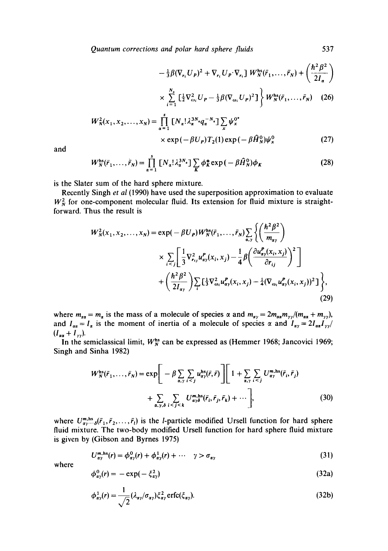*Quantum corrections and polar hard sphere fluids* 537

$$
-\frac{1}{3}\beta(\nabla_{r_i}U_P)^2+\nabla_{r_i}U_P\cdot\nabla_{r_i}\cdot W_N^{\text{hs}}(\vec{r}_1,\ldots,\vec{r}_N)+\left(\frac{\hbar^2\beta^2}{2I_\alpha}\right)
$$

$$
\times \sum_{i=1}^{N_{\rm s}} \left[ \frac{1}{2} \nabla_{\omega_i}^2 U_P - \frac{1}{3} \beta (\nabla_{\omega_i} U_P)^2 \right] \left\} W_N^{\rm hs}(\vec{r}_1, \ldots, \vec{r}_N) \quad (26)
$$

$$
W_N^2(x_1, x_2,..., x_N) = \prod_{\alpha=1}^s \left[ N_{\alpha}! \lambda_{\alpha}^{3N_{\alpha}} q_{\alpha}^{-N_{\alpha}} \right] \sum_x \psi_x^{0^*} \times \exp(-\beta U_P) T_2(1) \exp(-\beta \hat{H}_N^0) \psi_x^0 \tag{27}
$$

and

$$
W_N^{\text{hs}}(\bar{r}_1,\ldots,\bar{r}_N) = \prod_{\alpha=1}^s \left[ N_\alpha! \lambda_\alpha^{3N_\alpha} \right] \sum_K \phi_K^* \exp\left(-\beta \hat{H}_N^0\right) \phi_K \tag{28}
$$

is the Slater sum of the hard sphere mixture.

Recently Singh *et al* (1990) have used the superposition approximation to evaluate  $W_N^2$  for one-component molecular fluid. Its extension for fluid mixture is straightforward. Thus the result is

$$
W_N^2(x_1, x_2, \dots, x_N) = \exp(-\beta U_P) W_N^{\text{hs}}(\tilde{r}_1, \dots, \tilde{r}_N) \sum_{\alpha, \gamma} \left\{ \left( \frac{\hbar^2 \beta^2}{m_{\alpha \gamma}} \right) \times \sum_{i < j} \left[ \frac{1}{3} \nabla_{r_{ij}}^2 u_{\alpha \gamma}^P(x_i, x_j) - \frac{1}{4} \beta \left( \frac{\partial u_{\alpha \gamma}^P(x_i, x_j)}{\partial r_{ij}} \right)^2 \right] + \left( \frac{\hbar^2 \beta^2}{2I_{\alpha \gamma}} \right) \sum_i \left[ \frac{1}{3} \nabla_{\omega_i}^2 u_{\alpha \gamma}^P(x_i, x_j) - \frac{1}{4} (\nabla_{\omega_i} u_{\alpha \gamma}^P(x_i, x_j))^2 \right] \right\},\tag{29}
$$

where  $m_{ax} = m_a$  is the mass of a molecule of species  $\alpha$  and  $m_{ay} = 2m_{ax}m_{yy}/(m_{ax} + m_{yy})$ , and  $I_{\alpha\alpha} = I_{\alpha}$  is the moment of inertia of a molecule of species  $\alpha$  and  $I_{\alpha\nu} = 2I_{\alpha\alpha}I_{\nu\nu}$  $(I_{\alpha\alpha} + I_{\gamma\gamma}).$ 

In the semiclassical limit,  $W_N^{\text{hs}}$  can be expressed as (Hemmer 1968; Jancovici 1969; Singh and Sinha 1982)

$$
W_N^{\text{hs}}(\bar{r}_1, \dots, \bar{r}_N) = \exp\bigg[-\beta \sum_{\alpha, \gamma} \sum_{i < j} u_{\alpha\gamma}^{\text{hs}}(\bar{r}, \bar{r})\bigg] \bigg[1 + \sum_{\alpha, \gamma} \sum_{i < j} U_{\alpha\gamma}^{\text{m,hs}}(\bar{r}_i, \bar{r}_j) + \sum_{\alpha, \gamma, \delta} \sum_{i < j < k} U_{\alpha\gamma}^{\text{m,hs}}(\bar{r}_i, \bar{r}_j, \bar{r}_k) + \cdots \bigg],\tag{30}
$$

where  $U_{\alpha y \cdots \delta}^{m,hs}(\bar{r}_1, \bar{r}_2, \ldots, \bar{r}_l)$  is the *l*-particle modified Ursell function for hard sphere fluid mixture. The two-body modified Ursell function for hard sphere fluid mixture is given by (Gibson and Byrnes 1975)

$$
U_{\alpha\gamma}^{\mathbf{m},\mathbf{hs}}(r) = \phi_{\alpha\gamma}^0(r) + \phi_{\alpha\gamma}^1(r) + \cdots \quad \gamma > \sigma_{\alpha\gamma} \tag{31}
$$

$$
\phi_{\alpha\gamma}^0(r) = -\exp(-\xi_{\alpha\gamma}^2) \tag{32a}
$$

$$
\phi_{\alpha\gamma}^1(r) = \frac{1}{\sqrt{2}} (\lambda_{\alpha\gamma}/\sigma_{\alpha\gamma}) \xi_{\alpha\gamma}^2 \operatorname{erfc}(\xi_{\alpha\gamma}).
$$
\n(32b)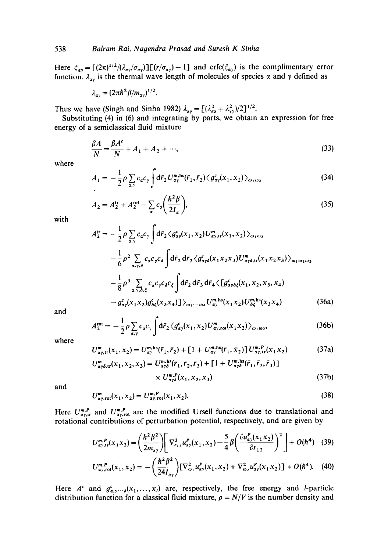Here  $\zeta_{av} = [(2\pi)^{1/2}/(\lambda_{av}/\sigma_{av})][(r/\sigma_{av})-1]$  and erfc( $\zeta_{av}$ ) is the complimentary error function.  $\lambda_{\alpha\nu}$  is the thermal wave length of molecules of species  $\alpha$  and  $\gamma$  defined as

$$
\lambda_{\alpha\gamma}=(2\pi\hbar^2\beta/m_{\alpha\gamma})^{1/2}.
$$

Thus we have (Singh and Sinha 1982)  $\lambda_{\alpha y} = [(\lambda_{\alpha\alpha}^2 + \lambda_{yy}^2)/2]^{1/2}$ .

Substituting (4) in (6) and integrating by parts, we obtain an expression for free energy of a semiclassical fluid mixture

$$
\frac{\beta A}{N} = \frac{\beta A^c}{N} + A_1 + A_2 + \cdots,\tag{33}
$$

where

$$
A_1 = -\frac{1}{2}\rho \sum_{\alpha,\gamma} c_{\alpha} c_{\gamma} \int d\bar{r}_2 U_{\alpha\gamma}^{\mathbf{m},\mathbf{h}s}(\bar{r}_1,\bar{r}_2) \langle g_{\alpha\gamma}^c(x_1,x_2) \rangle_{\omega_1\omega_2}
$$
(34)

$$
A_2 = A_2^{\text{tr}} + A_2^{\text{rot}} - \sum_{\alpha} c_{\alpha} \left( \frac{\hbar^2 \beta}{2I_{\alpha}} \right),\tag{35}
$$

with

$$
4_{2}^{\prime r} = -\frac{1}{2}\rho \sum_{\alpha,\gamma} c_{\alpha}c_{\gamma} \int d\bar{r}_{2} \langle g_{\alpha\gamma}^{c}(x_{1}, x_{2})U_{\alpha\gamma, tr}^{m}(x_{1}, x_{2}) \rangle_{\omega_{1}\omega_{2}} - \frac{1}{6}\rho^{2} \sum_{\alpha,\gamma,\delta} c_{\alpha}c_{\gamma}c_{\delta} \int d\bar{r}_{2} d\bar{r}_{3} \langle g_{\alpha\gamma\delta}^{c}(x_{1}x_{2}x_{3})U_{\alpha\gamma\delta, tr}^{m}(x_{1}x_{2}x_{3}) \rangle_{\omega_{1}\omega_{2}\omega_{3}} - \frac{1}{8}\rho^{3} \sum_{\alpha,\gamma,\delta,\zeta} c_{\alpha}c_{\gamma}c_{\delta}c_{\zeta} \int d\bar{r}_{2} d\bar{r}_{3} d\bar{r}_{4} \langle [g_{\alpha\gamma\delta\zeta}^{c}(x_{1}, x_{2}, x_{3}, x_{4}) - g_{\alpha\gamma}^{c}(x_{1}x_{2})g_{\delta\zeta}^{c}(x_{3}x_{4})] \rangle_{\omega_{1} \cdots \omega_{4}} U_{\alpha\gamma}^{m, \text{hs}}(x_{1}x_{2})U_{\delta\zeta}^{m, \text{hs}}(x_{3}x_{4})
$$
(36a)

and

$$
A_2^{\text{rot}} = -\frac{1}{2} \rho \sum_{\alpha,\gamma} c_{\alpha} c_{\gamma} \int d\bar{r}_2 \langle g_{\alpha\gamma}^c(x_1, x_2) U_{\alpha\gamma,\text{rot}}^m(x_1 x_2) \rangle_{\omega_1 \omega_2}, \tag{36b}
$$

where

$$
U^{m}_{\alpha\gamma,\text{tr}}(x_1, x_2) = U^{m,\text{hs}}_{\alpha\gamma}(\bar{r}_1, \bar{r}_2) + [1 + U^{m,\text{hs}}_{\alpha\gamma}(\bar{r}_1, \bar{x}_2)] U^{m,P}_{\alpha\gamma,\text{tr}}(x_1 x_2)
$$
(37a)

$$
U_{\alpha\gamma\delta,\text{tr}}^{\text{m}}(x_1, x_2, x_3) = U_{\alpha\gamma\delta}^{\text{m,hs}}(\bar{r}_1, \bar{r}_2, \bar{r}_3) + [1 + U_{\alpha\gamma\delta}^{\text{m,hs}}(\bar{r}_1, \bar{r}_2, \bar{r}_3)]
$$
  
 
$$
\times U_{\alpha\gamma\delta}^{\text{m,P}}(x_1, x_2, x_3)
$$
 (37b)

and

$$
U_{\alpha\gamma, \text{rot}}^{\mathfrak{m}}(x_1, x_2) = U_{\alpha\gamma, \text{rot}}^{\mathfrak{m}, \mathbf{P}}(x_1, x_2). \tag{38}
$$

Here  $U_{\alpha\gamma,\text{tr}}^{m,P}$  and  $U_{\alpha\gamma,\text{rot}}^{m,P}$  are the modified Ursell functions due to translational and rotational contributions of perturbation potential, respectively, and are given by

$$
U_{\alpha y, \text{tr}}^{\mathbf{m}, P}(x_1 x_2) = \left(\frac{\hbar^2 \beta^2}{2m_{\alpha y}}\right) \left[ \nabla_{r_{12}}^2 u_{\alpha y}^P(x_1, x_2) - \frac{5}{4} \beta \left(\frac{\partial u_{\alpha y}^P(x_1 x_2)}{\partial r_{12}}\right)^2 \right] + O(\hbar^4) \quad (39)
$$

$$
U_{\alpha\gamma,\text{rot}}^{\text{m},P}(x_1,x_2) = -\left(\frac{\hbar^2 \beta^2}{24I_{\alpha\gamma}}\right) [\nabla_{\omega_1}^2 u_{\alpha\gamma}^P(x_1,x_2) + \nabla_{\omega_2}^2 u_{\alpha\gamma}^P(x_1,x_2)] + O(\hbar^4). \quad (40)
$$

Here  $A^c$  and  $g_{\alpha,y}^c \dots s(x_1,\dots,x_l)$  are, respectively, the free energy and *l*-particle distribution function for a classical fluid mixture,  $\rho = N/V$  is the number density and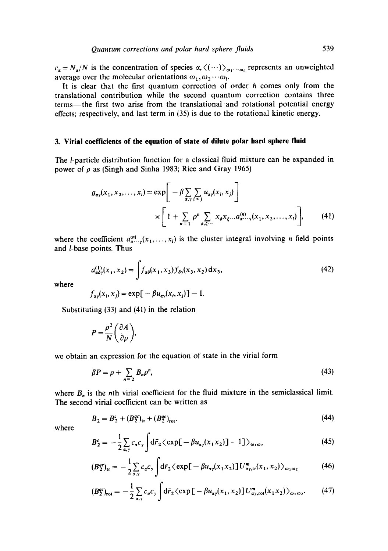$c_{\alpha} = N_{\alpha}/N$  is the concentration of species  $\alpha, \langle (\cdots) \rangle_{\omega_1 \cdots \omega_l}$  represents an unweighted average over the molecular orientations  $\omega_1, \omega_2 \cdots \omega_l$ .

It is clear that the first quantum correction of order  $h$  comes only from the translational contribution while the second quantum correction contains three terms--the first two arise from the translational and rotational potential energy effects; respectively, and last term in (35) is due to the rotational kinetic energy.

### **3. Virial coefficients of the equation of state of dilute polar hard sphere fluid**

The *l*-particle distribution function for a classical fluid mixture can be expanded in power of  $\rho$  as (Singh and Sinha 1983; Rice and Gray 1965)

$$
g_{\alpha y}(x_1, x_2, \dots, x_l) = \exp\bigg[-\beta \sum_{\alpha, y} \sum_{i < j} u_{\alpha y}(x_i, x_j)\bigg] \times \bigg[1 + \sum_{n=1}^{\infty} \rho^n \sum_{\delta, \xi^{(1)}} x_{\delta} x_{\xi} \dots a_{\alpha}^{(n)} x_{\delta} x_{\delta} \dots x_l)\bigg],\tag{41}
$$

where the coefficient  $a_{\alpha\cdots\gamma}^{(n)}(x_1,\ldots,x_l)$  is the cluster integral involving n field points and /-base points. Thus

$$
a_{\alpha\delta\gamma}^{(1)}(x_1, x_2) = \int f_{\alpha\delta}(x_1, x_3) f_{\delta\gamma}(x_3, x_2) dx_3,
$$
 (42)

where

$$
f_{\alpha\gamma}(x_i, x_j) = \exp[-\beta u_{\alpha\gamma}(x_i, x_j)] - 1.
$$

Substituting (33) and (41) in the relation

$$
P=\frac{\rho^2}{N}\bigg(\frac{\partial A}{\partial \rho}\bigg),\,
$$

we obtain an expression for the equation of state in the virial form

$$
\beta P = \rho + \sum_{n=2} B_n \rho^n,\tag{43}
$$

where  $B_n$  is the nth virial coefficient for the fluid mixture in the semiclassical limit. The second virial coefficient can be written as

$$
B_2 = B_2^c + (B_2^{ac})_{\text{tr}} + (B_2^{ac})_{\text{rot}}.\tag{44}
$$

$$
B_2^c = -\frac{1}{2} \sum_{\alpha,\gamma} c_{\alpha} c_{\gamma} \int d\bar{r}_2 \langle \exp[-\beta u_{\alpha\gamma}(x_1 x_2)] - 1] \rangle_{\omega_1 \omega_2}
$$
(45)

$$
(B_2^{qc})_{\text{tr}} = -\frac{1}{2} \sum_{\alpha,\gamma} c_\alpha c_\gamma \int d\bar{r}_2 \langle \exp[-\beta u_{\alpha\gamma}(x_1 x_2)] U^m_{\alpha\gamma,\text{tr}}(x_1, x_2) \rangle_{\omega_1 \omega_2} \tag{46}
$$

$$
(B_2^{qc})_{\text{rot}} = -\frac{1}{2} \sum_{\alpha,\gamma} c_{\alpha} c_{\gamma} \int d\bar{r}_2 \langle \exp \left[ -\beta u_{\alpha\gamma}(x_1, x_2) \right] U_{\alpha\gamma,\text{rot}}^m(x_1, x_2) \rangle_{\omega_1 \omega_2}.
$$
 (47)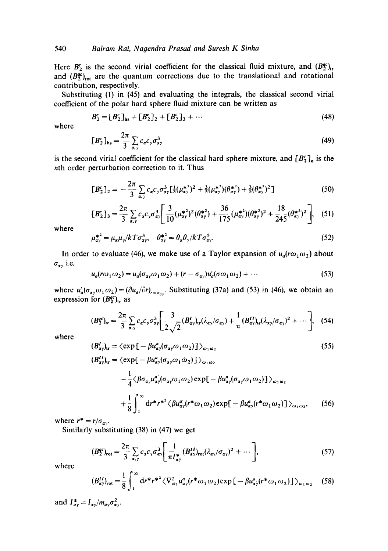Here  $B_2^c$  is the second virial coefficient for the classical fluid mixture, and  $(B_2^{\epsilon})_{tr}$ and  $(B_2^{qc})_{\text{rot}}$  are the quantum corrections due to the translational and rotational contribution, respectively.

Substituting (1) in (45) and evaluating the integrals, the classical second virial coefficient of the polar hard sphere fluid mixture can be written as

$$
B_2^c = [B_2^c]_{\text{hs}} + [B_2^c]_2 + [B_2^c]_3 + \cdots \tag{48}
$$

where

$$
[B_2^c]_{\text{hs}} = \frac{2\pi}{3} \sum_{\alpha,\gamma} c_\alpha c_\gamma \sigma_{\alpha\gamma}^3 \tag{49}
$$

is the second virial coefficient for the classical hard sphere mixture, and  $[B_2^c]_n$  is the nth order perturbation correction to it. Thus

$$
[B_2^c]_2 = -\frac{2\pi}{3} \sum_{\alpha,\gamma} c_\alpha c_\gamma \sigma_{\alpha\gamma}^3 \left[\frac{1}{3}(\mu_{\alpha\gamma}^{*2})^2 + \frac{3}{5}(\mu_{\alpha\gamma}^{*2})(\theta_{\alpha\gamma}^{*2}) + \frac{3}{5}(\theta_{\alpha\gamma}^{*2})^2\right]
$$
(50)

$$
[B_2^c]_3 = \frac{2\pi}{3} \sum_{\alpha,\gamma} c_\alpha c_\gamma \sigma_{\alpha\gamma}^3 \left[ \frac{3}{10} (\mu_{\alpha\gamma}^{*2})^2 (\theta_{\alpha\gamma}^{*2}) + \frac{36}{175} (\mu_{\alpha\gamma}^{*2}) (\theta_{\alpha\gamma}^{*2})^2 + \frac{18}{245} (\theta_{\alpha\gamma}^{*2})^2 \right], \quad (51)
$$

where

$$
\mu_{\alpha\gamma}^{*^2} = \mu_\alpha \mu_\gamma / kT \sigma_{\alpha\gamma}^3, \quad \theta_{\alpha\gamma}^{*^2} = \theta_\alpha \theta_\gamma / kT \sigma_{\alpha\gamma}^5. \tag{52}
$$

In order to evaluate (46), we make use of a Taylor expansion of  $u_a$ ( $r\omega_1\omega_2$ ) about  $\sigma_{\alpha\gamma}$  i.e.

$$
u_a(r\omega_1\omega_2) = u_a(\sigma_{a\gamma}\omega_1\omega_2) + (r - \sigma_{a\gamma})u'_a(\sigma\omega_1\omega_2) + \cdots
$$
\n(53)

where  $u'_a(\sigma_{a\gamma}\omega_1\omega_2)=(\partial u_a/\partial r)_{r=\sigma_{a\gamma}}$ . Substituting (37a) and (53) in (46), we obtain an expression for  $(B_2^{ac})_{tr}$  as

$$
(B_2^{qc})_{\rm tr} = \frac{2\pi}{3} \sum_{\alpha,\gamma} c_\alpha c_\gamma \sigma_{\alpha\gamma}^3 \left[ \frac{3}{2\sqrt{2}} (B_{\alpha\gamma}^I)_{\rm tr}(\lambda_{\alpha\gamma}/\sigma_{\alpha\gamma}) + \frac{1}{\pi} (B_{\alpha\gamma}^{II})_{\rm tr}(\lambda_{\alpha\gamma}/\sigma_{\alpha\gamma})^2 + \cdots \right], \quad (54)
$$

where

$$
(B'_{\alpha\gamma})_{\rm tr} = \langle \exp\left[-\beta u_{\alpha\gamma}^a(\sigma_{\alpha\gamma}\omega_1\omega_2)\right]\rangle_{\omega_1\omega_2}
$$
\n
$$
(B''_{\alpha\gamma})_{\rm tr} = \langle \exp\left[-\beta u_{\alpha\gamma}^a(\sigma_{\alpha\gamma}\omega_1\omega_2)\right]\rangle_{\omega_1\omega_2}
$$
\n
$$
-\frac{1}{4}\langle\beta\sigma_{\alpha\gamma}u_{\alpha\gamma}^a(\sigma_{\alpha\gamma}\omega_1\omega_2)\exp\left[-\beta u_{\alpha\gamma}^a(\sigma_{\alpha\gamma}\omega_1\omega_2)\right]\rangle_{\omega_1\omega_2}
$$
\n
$$
+\frac{1}{8}\int_1^\infty d\mathbf{r}^* \mathbf{r}^* \langle\beta u_{\alpha\gamma}^a(\mathbf{r}^*\omega_1\omega_2)\exp\left[-\beta u_{\alpha\gamma}^a(\mathbf{r}^*\omega_1\omega_2)\right]\rangle_{\omega_1\omega_2}, \qquad (56)
$$

where  $r^* = r/\sigma_{\alpha y}$ .

Similarly substituting (38) in (47) we get

$$
(B_2^{qc})_{\text{rot}} = \frac{2\pi}{3} \sum_{\alpha,\gamma} c_{\alpha} c_{\gamma} \sigma_{\alpha\gamma}^3 \left[ \frac{1}{\pi I_{\alpha\gamma}^*} (B_{\alpha\gamma}^{II})_{\text{rot}} (\lambda_{\alpha\gamma} / \sigma_{\alpha\gamma})^2 + \cdots \right],
$$
 (57)

where

$$
(B_{\alpha\gamma}^{II})_{\text{rot}} = \frac{1}{8} \int_1^{\infty} \mathrm{d}r^* r^{*2} \langle \nabla_{\omega_1}^2 u_{\alpha\gamma}^a (r^* \omega_1 \omega_2) \exp \left[ -\beta u_{\alpha\gamma}^2 (r^* \omega_1 \omega_2) \right] \rangle_{\omega_1 \omega_2} \quad (58)
$$

and  $I_{\alpha\gamma}^* = I_{\alpha\gamma}/m_{\alpha\gamma}\sigma_{\alpha\gamma}^2$ .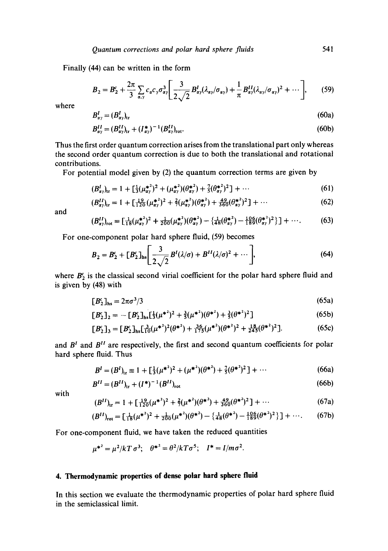Finally (44) can be written in the form

$$
B_2 = B_2^c + \frac{2\pi}{3} \sum_{\alpha,\gamma} c_\alpha c_\gamma \sigma_{\alpha\gamma}^3 \bigg[ \frac{3}{2\sqrt{2}} B_{\alpha\gamma}^I(\lambda_{\alpha\gamma}/\sigma_{\alpha\gamma}) + \frac{1}{\pi} B_{\alpha\gamma}^{II}(\lambda_{\alpha\gamma}/\sigma_{\alpha\gamma})^2 + \cdots \bigg], \qquad (59)
$$

where

$$
B_{\alpha\gamma}^I = (B_{\alpha\gamma}^I)_{\rm tr} \tag{60a}
$$

$$
B_{\alpha\gamma}^{II} = (B_{\alpha\gamma}^{II})_{\text{tr}} + (I_{\alpha\gamma}^{*})^{-1} (B_{\alpha\gamma}^{II})_{\text{rot}}.
$$
 (60b)

Thus the first order quantum correction arises from the translational part only whereas the second order quantum correction is due to both the translational and rotational contributions.

For potential model given by (2) the quantum correction terms are given by

$$
(B_{\alpha\gamma}^I)_{\rm tr} = 1 + \left[\frac{1}{3}(\mu_{\alpha\gamma}^{*2})^2 + (\mu_{\alpha\gamma}^{*2})(\theta_{\alpha\gamma}^{*2}) + \frac{7}{5}(\theta_{\alpha\gamma}^{*2})^2\right] + \cdots \tag{61}
$$

$$
(B_{\alpha y}^{II})_{\text{tr}} = 1 + \left[\frac{19}{120}(\mu_{\alpha y}^{*^2})^2 + \frac{2}{7}(\mu_{\alpha y}^{*^2})(\theta_{\alpha y}^{*^2}) + \frac{49}{360}(\theta_{\alpha y}^{*^2})^2\right] + \cdots
$$
 (62)

and

$$
(B_{\alpha\gamma}^{II})_{\text{rot}} = \left[\frac{1}{18}(\mu_{\alpha\gamma}^{*2})^{2} + \frac{1}{200}(\mu_{\alpha\gamma}^{*2})(\theta_{\alpha\gamma}^{*2}) - \left\{\frac{1}{48}(\theta_{\alpha\gamma}^{*2}) - \frac{106}{189}(\theta_{\alpha\gamma}^{*2})^{2}\right\}\right] + \cdots. \tag{63}
$$

For one-component polar hard sphere fluid, (59) becomes

$$
B_2 = B_2^c + [B_2^c]_{\text{hs}} \bigg[ \frac{3}{2\sqrt{2}} B^I(\lambda/\sigma) + B^{II}(\lambda/\sigma)^2 + \cdots \bigg],\tag{64}
$$

where  $B_2^c$  is the classical second virial coefficient for the polar hard sphere fluid and is given by (48) with

$$
[B2c]hs = 2\pi\sigma3/3
$$
 (65a)

$$
[B_2^c]_2 = -[B_2^c]_{\text{hs}}[\frac{1}{3}(\mu^{*2})^2 + \frac{3}{5}(\mu^{*2})(\theta^{*2}) + \frac{3}{5}(\theta^{*2})^2]
$$
 (65b)

$$
[B_2^c]_3 = [B_2^c]_{\text{hs}} \left[\frac{3}{10}(\mu^{*2})^2(\theta^{*2}) + \frac{36}{175}(\mu^{*2})(\theta^{*2})^2 + \frac{18}{245}(\theta^{*2})^2\right].
$$
 (65c)

and  $B<sup>t</sup>$  and  $B<sup>tt</sup>$  are respectively, the first and second quantum coefficients for polar hard sphere fluid. Thus

$$
B^{I} = (B^{I})_{tr} \equiv 1 + \left[\frac{1}{3}(\mu^{*2})^{2} + (\mu^{*2})(\theta^{*2}) + \frac{7}{5}(\theta^{*2})^{2}\right] + \cdots
$$
 (66a)

$$
B^{II} = (B^{II})_{tr} + (I^*)^{-1} (B^{II})_{rot}
$$
 (66b)

with

$$
(B^{II})_{\text{tr}} = 1 + \left[\frac{19}{120}(\mu^{*2})^{2} + \frac{2}{7}(\mu^{*2})(\theta^{*2}) + \frac{49}{360}(\theta^{*2})^{2}\right] + \cdots
$$
 (67a)

$$
(B^{II})_{\text{rot}} = \left[\frac{1}{18}(\mu^{*2})^{2} + \frac{1}{200}(\mu^{*2})(\theta^{*2}) - \left\{\frac{1}{48}(\theta^{*2}) - \frac{106}{189}(\theta^{*2})^{2}\right\}\right] + \cdots. \tag{67b}
$$

For one-component fluid, we have taken the reduced quantities

$$
\mu^{*^2} = \mu^2 / kT \sigma^3
$$
;  $\theta^{*^2} = \theta^2 / kT \sigma^5$ ;  $I^* = I / m \sigma^2$ .

# **4. Thermodynamic properties of dense polar hard sphere fluid**

In this section we evaluate the thermodynamic properties of polar hard sphere fluid in the semiclassical limit.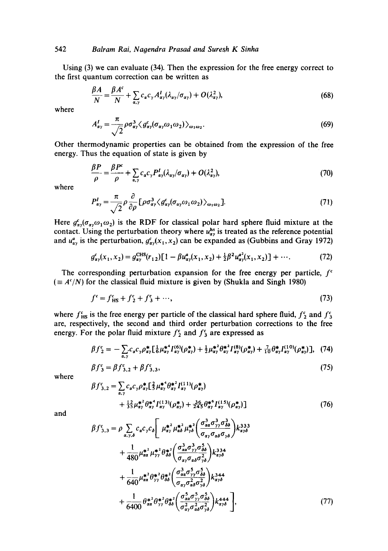Using (3) we can evaluate (34). Then the expression for the free energy correct to the first quantum correction can be written as

$$
\frac{\beta A}{N} = \frac{\beta A^c}{N} + \sum_{\alpha,\gamma} c_{\alpha} c_{\gamma} A^I_{\alpha\gamma} (\lambda_{\alpha\gamma}/\sigma_{\alpha\gamma}) + O(\lambda_{\alpha\gamma}^2),\tag{68}
$$

where

$$
A'_{\alpha\gamma} = \frac{\pi}{\sqrt{2}} \rho \sigma_{\alpha\gamma}^3 \langle g_{\alpha\gamma}^c(\sigma_{\alpha\gamma}\omega_1\omega_2) \rangle_{\omega_1\omega_2}.
$$
 (69)

Other thermodynamic properties can be obtained from the expression of the free energy. Thus the equation of state is given by

$$
\frac{\beta P}{\rho} = \frac{\beta P^c}{\rho} + \sum_{\alpha,\gamma} c_{\alpha} c_{\gamma} P^I_{\alpha\gamma} (\lambda_{\alpha\gamma}/\sigma_{\alpha\gamma}) + O(\lambda_{\alpha\gamma}^2),\tag{70}
$$

where

$$
P_{\alpha\gamma}^{I} = \frac{\pi}{\sqrt{2}} \rho \frac{\partial}{\partial \rho} \left[ \rho \sigma_{\alpha\gamma}^{3} \langle g_{\alpha\gamma}^{c}(\sigma_{\alpha\gamma}\omega_{1}\omega_{2}) \rangle_{\omega_{1}\omega_{2}} \right].
$$
 (71)

Here  $g_{\alpha\gamma}^c(\sigma_{\alpha\gamma}\omega_1\omega_2)$  is the RDF for classical polar hard sphere fluid mixture at the contact. Using the perturbation theory where  $u_{xy}^{hs}$  is treated as the reference potential and  $u_{\alpha}^a$  is the perturbation,  $g_{\alpha}^c(x_1, x_2)$  can be expanded as (Gubbins and Gray 1972)

$$
g_{\alpha\gamma}^c(x_1, x_2) = g_{\alpha\gamma}^{CHS}(r_{12})[1 - \beta u_{\alpha\gamma}^a(x_1, x_2) + \frac{1}{2}\beta^2 u_{\alpha\gamma}^{a^2}(x_1, x_2)] + \cdots
$$
 (72)

The corresponding perturbation expansion for the free energy per particle,  $f^c$  $(=A^{c}/N)$  for the classical fluid mixture is given by (Shukla and Singh 1980)

$$
f^{\epsilon} = f^{\epsilon}_{\text{HS}} + f^{\epsilon}_{2} + f^{\epsilon}_{3} + \cdots,
$$
 (73)

where  $f_{HS}^c$  is the free energy per particle of the classical hard sphere fluid,  $f_2^c$  and  $f_3^c$ are, respectively, the second and third order perturbation corrections to the free energy. For the polar fluid mixture  $f_2^c$  and  $f_3^c$  are expressed as

$$
\beta f_2^c = -\sum_{\alpha,\gamma} c_{\alpha} c_{\gamma} \rho_{\alpha\gamma}^* \left[ \frac{1}{6} \mu_{\alpha\gamma}^{*4} I_{\alpha\gamma}^{(6)} (\rho_{\alpha\gamma}^{*}) + \frac{1}{2} \mu_{\alpha\gamma}^{*2} \theta_{\alpha\gamma}^{*2} I_{\alpha\gamma}^{(8)} (\rho_{\alpha\gamma}^{*}) + \frac{7}{10} \theta_{\alpha\gamma}^{*2} I_{\alpha\gamma}^{(10)} (\rho_{\alpha\gamma}^{*}) \right], \quad (74)
$$

$$
\beta f_3^c = \beta f_{3,2}^c + \beta f_{3,3}^c,\tag{75}
$$

where

$$
\beta f_{3,2}^c = \sum_{\alpha,\gamma} c_{\alpha} c_{\gamma} \rho_{\alpha\gamma}^* \left[ \frac{2}{5} \mu_{\alpha\gamma}^{*4} \theta_{\alpha\gamma}^{*2} I_{\alpha\gamma}^{(11)} (\rho_{\alpha\gamma}^*) \right] + \frac{12}{35} \mu_{\alpha\gamma}^{*2} \theta_{\alpha\gamma}^{*4} I_{\alpha\gamma}^{(13)} (\rho_{\alpha\gamma}^*) + \frac{36}{245} \theta_{\alpha\gamma}^{*6} I_{\alpha\gamma}^{(15)} (\rho_{\alpha\gamma}^*) \right]
$$
(76)

and

$$
\beta f_{3,3}^{c} = \rho \sum_{\alpha,\gamma,\delta} c_{\alpha} c_{\gamma} c_{\delta} \left[ \mu_{\alpha\gamma}^{*2} \mu_{\alpha\delta}^{*2} \mu_{\gamma\delta}^{*2} \left( \frac{\sigma_{\alpha\alpha}^{3} \sigma_{\gamma\gamma}^{3} \sigma_{\delta\delta}^{3}}{\sigma_{\alpha\gamma} \sigma_{\alpha\delta} \sigma_{\gamma\delta}} \right) k_{\alpha\gamma\delta}^{333} + \frac{1}{480} \mu_{\alpha\alpha}^{*2} \mu_{\gamma\gamma}^{*2} \theta_{\delta\delta}^{*2} \left( \frac{\sigma_{\alpha\alpha}^{3} \sigma_{\gamma\gamma}^{3} \sigma_{\delta\delta}^{5}}{\sigma_{\alpha\gamma} \sigma_{\alpha\delta} \sigma_{\gamma\delta}^{2}} \right) k_{\alpha\gamma\delta}^{334} + \frac{1}{640} \mu_{\alpha\alpha}^{*2} \theta_{\gamma\gamma}^{*2} \theta_{\delta\delta}^{*2} \left( \frac{\sigma_{\alpha\alpha}^{3} \sigma_{\gamma\gamma}^{5} \sigma_{\delta\delta}^{5}}{\sigma_{\alpha\gamma} \sigma_{\alpha\delta}^{2} \sigma_{\gamma\delta}^{2}} \right) k_{\alpha\gamma\delta}^{344} + \frac{1}{6400} \theta_{\alpha\alpha}^{*2} \theta_{\gamma\gamma}^{*2} \theta_{\delta\delta}^{*2} \left( \frac{\sigma_{\alpha\alpha}^{5} \sigma_{\gamma\gamma}^{5} \sigma_{\delta\delta}^{5}}{\sigma_{\alpha\gamma} \sigma_{\alpha\delta}^{2} \sigma_{\gamma\delta}^{2}} \right) k_{\alpha\gamma\delta}^{444} \right], \tag{77}
$$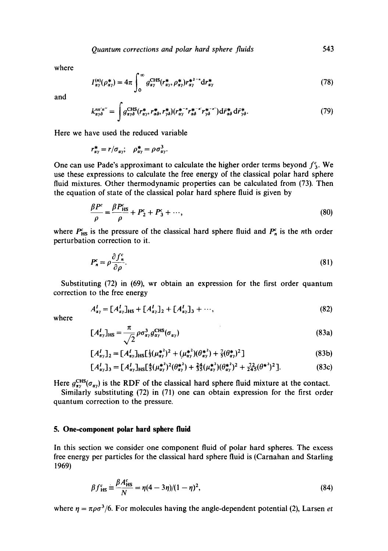where

$$
I_{\alpha\gamma}^{(n)}(\rho_{\alpha\gamma}^*) = 4\pi \int_0^\infty g_{\alpha\gamma}^{CHS}(r_{\alpha\gamma}^*, \rho_{\alpha\gamma}^*) r_{\alpha\gamma}^{*^{2-n}} dr_{\alpha\gamma}^* \tag{78}
$$

and

$$
k_{\alpha\gamma\delta}^{n'n''} = \int g_{\alpha\gamma\delta}^{\text{CHS}}(r_{\alpha\gamma}^*, r_{\alpha\delta}^*, r_{\gamma\delta}^*) (r_{\alpha\gamma}^{*-*} r_{\alpha\delta}^{*-*} r_{\gamma\delta}^{*-*}) d\vec{r}_{\alpha\delta}^* d\vec{r}_{\gamma\delta}^*.
$$
 (79)

Here we have used the reduced variable

$$
r_{\alpha\gamma}^* = r/\sigma_{\alpha\gamma}; \quad \rho_{\alpha\gamma}^* = \rho \sigma_{\alpha\gamma}^3.
$$

One can use Pade's approximant to calculate the higher order terms beyond  $f_3^c$ . We use these expressions to calculate the free energy of the classical polar hard sphere fluid mixtures. Other thermodynamic properties can be calculated from (73). Then the equation of state of the classical polar hard sphere fluid is given by

$$
\frac{\beta P^c}{\rho} = \frac{\beta P^c_{\text{HS}}}{\rho} + P^c_2 + P^c_3 + \cdots,\tag{80}
$$

where  $P_{HS}^c$  is the pressure of the classical hard sphere fluid and  $P_n^c$  is the nth order perturbation correction to it.

$$
P_n^c = \rho \frac{\partial f_n^c}{\partial \rho}.\tag{81}
$$

Substituting (72) in (69), wr obtain an expression for the first order quantum correction to the free energy

$$
A_{\alpha\gamma}^{I} = [A_{\alpha\gamma}^{I}]_{\text{HS}} + [A_{\alpha\gamma}^{I}]_{2} + [A_{\alpha\gamma}^{I}]_{3} + \cdots,
$$
\n(82)

where

$$
[A_{\alpha\gamma}^I]_{\rm HS} = \frac{\pi}{\sqrt{2}} \rho \sigma_{\alpha\gamma}^3 g_{\alpha\gamma}^{\rm CHS} (\sigma_{\alpha\gamma})
$$
(83a)

$$
[A_{\alpha\gamma}^l]_2 = [A_{\alpha\gamma}^l]_{HS} [\frac{1}{3} (\mu_{\alpha\gamma}^{*2})^2 + (\mu_{\alpha\gamma}^{*2}) (\theta_{\alpha\gamma}^{*2}) + \frac{7}{5} (\theta_{\alpha\gamma}^{*2})^2 ] \tag{83b}
$$

$$
[A_{\alpha\gamma}^I]_3 = [A_{\alpha\gamma}^I]_{HS} [\frac{4}{5} (\mu_{\alpha\gamma}^{*2})^2 (\theta_{\alpha\gamma}^{*2}) + \frac{24}{35} (\mu_{\alpha\gamma}^{*2}) (\theta_{\alpha\gamma}^{*2})^2 + \frac{72}{245} (\theta^{*2})^2].
$$
 (83c)

Here  $g_{xy}^{CHS}(\sigma_{xy})$  is the RDF of the classical hard sphere fluid mixture at the contact.

Similarly substituting (72) in (71) one can obtain expression for the first order quantum correction to the pressure.

#### **5. One-component polar hard sphere fluid**

In this section we consider one component fluid of polar hard spheres. The excess free energy per particles for the classical hard sphere fluid is (Carnahan and Starling 1969)

$$
\beta f_{\text{HS}}^c \equiv \frac{\beta A_{\text{HS}}^c}{N} = \eta (4 - 3\eta)/(1 - \eta)^2, \tag{84}
$$

where  $\eta = \pi \rho \sigma^3/6$ . For molecules having the angle-dependent potential (2), Larsen *et*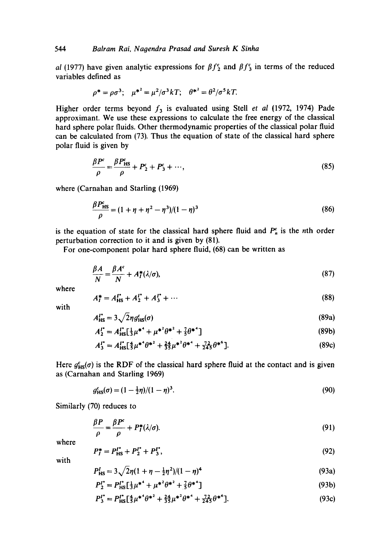*al* (1977) have given analytic expressions for  $\beta f_2^c$  and  $\beta f_3^c$  in terms of the reduced variables defined as

$$
\rho^* = \rho \sigma^3
$$
;  $\mu^{*2} = \mu^2/\sigma^3 kT$ ;  $\theta^{*2} = \theta^2/\sigma^5 kT$ .

Higher order terms beyond  $f_3$  is evaluated using Stell *et al* (1972, 1974) Pade approximant. We use these expressions to calculate the free energy of the classical hard sphere polar fluids. Other thermodynamic properties of the classical polar fluid can be calculated from (73). Thus the equation of state of the classical hard sphere polar fluid is given by

$$
\frac{\beta P^c}{\rho} = \frac{\beta P^c_{HS}}{\rho} + P^c_2 + P^c_3 + \cdots,
$$
\n(85)

where (Carnahan and Starling (1969)

$$
\frac{\beta P_{\text{HS}}^{\text{c}}}{\rho} = (1 + \eta + \eta^2 - \eta^3)/(1 - \eta)^3
$$
\n(86)

is the equation of state for the classical hard sphere fluid and  $P_n^c$  is the nth order perturbation correction to it and is given by (81).

For one-component polar hard sphere fluid, (68) can be written as

$$
\frac{\beta A}{N} = \frac{\beta A^c}{N} + A_I^*(\lambda/\sigma),\tag{87}
$$

where

$$
A_I^* = A_{\rm HS}^{I^*} + A_2^{I^*} + A_3^{I^*} + \cdots \tag{88}
$$

with

$$
A'_{\text{HS}} = 3\sqrt{2}\eta g'_{\text{HS}}(\sigma) \tag{89a}
$$

$$
A_2^{I^*} = A_{\text{HS}}^{I^*} \left[ \frac{1}{3} \mu^{*^4} + \mu^{*^2} \theta^{*^2} + \frac{7}{3} \theta^{*^4} \right]
$$
(89b)

$$
A_3^{\prime^*} = A_{\rm HS}^{\prime^*} \left[ \frac{4}{5} \mu^{*^4} \theta^{*^2} + \frac{24}{35} \mu^{*^2} \theta^{*^4} + \frac{72}{245} \theta^{*^6} \right].
$$
 (89c)

Here  $g_{HS}^c(\sigma)$  is the RDF of the classical hard sphere fluid at the contact and is given as (Carnahan and Starling 1969)

$$
g_{\text{HS}}^c(\sigma) = (1 - \frac{1}{2}\eta)/(1 - \eta)^3. \tag{90}
$$

Similarly (70) reduces to

$$
\frac{\beta P}{\rho} = \frac{\beta P^{\epsilon}}{\rho} + P_I^*(\lambda/\sigma). \tag{91}
$$

where

$$
P_I^* = P_{\text{HS}}^{I^*} + P_2^{I^*} + P_3^{I^*},\tag{92}
$$

with

$$
P_{\text{HS}}^I = 3\sqrt{2\eta(1+\eta-\frac{1}{2}\eta^2)/(1-\eta)^4} \tag{93a}
$$

$$
P_2^{I^*} = P_{\text{HS}}^{I^*} \left[ \frac{1}{3} \mu^{*^4} + \mu^{*^2} \theta^{*^2} + \frac{7}{5} \theta^{*^4} \right]
$$
(93b)

$$
P_3^{\prime\star} = P_{\rm HS}^{\prime\star} \left[ \frac{4}{5} \mu^{\star}^2 \theta^{\star}^2 + \frac{24}{35} \mu^{\star}^2 \theta^{\star}^4 + \frac{72}{245} \theta^{\star}^6 \right].
$$
 (93c)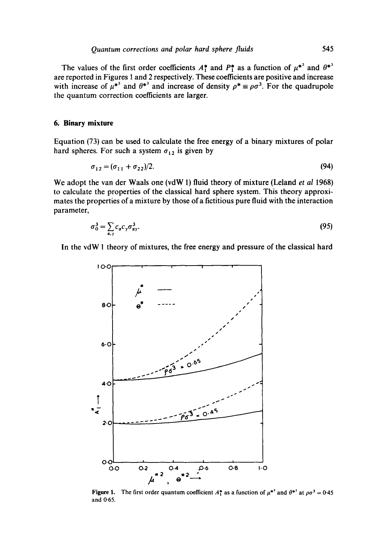The values of the first order coefficients  $A_1^*$  and  $P_1^*$  as a function of  $\mu^{*2}$  and  $\theta^{*2}$ **are reported in Figures 1 and 2 respectively. These coefficients are positive and increase**  with increase of  $\mu^*$  and  $\theta^*$  and increase of density  $\rho^* \equiv \rho \sigma^3$ . For the quadrupole **the quantum correction coefficients are larger.** 

# **6. Binary mixture**

**Equation (73) can be used to calculate the free energy of a binary mixtures of polar**  hard spheres. For such a system  $\sigma_{12}$  is given by

$$
\sigma_{12} = (\sigma_{11} + \sigma_{22})/2. \tag{94}
$$

**We adopt the van der Waals one (vdW 1) fluid theory of mixture (Leland** *et al* **1968) to calculate the properties of the classical hard sphere system. This theory approximates the properties of a mixture by those of a fictitious pure fluid with the interaction parameter,** 

$$
\sigma_0^3 = \sum_{\alpha,\gamma} c_{\alpha} c_{\gamma} \sigma_{\alpha\gamma}^3. \tag{95}
$$

**In the vdW 1 theory of mixtures, the free energy and pressure of the classical hard** 



**Figure 1.** The first order quantum coefficient  $A_1^*$  as a function of  $\mu^*$  and  $\theta^*$  at  $\rho\sigma^3 = 0.45$ and 0.65.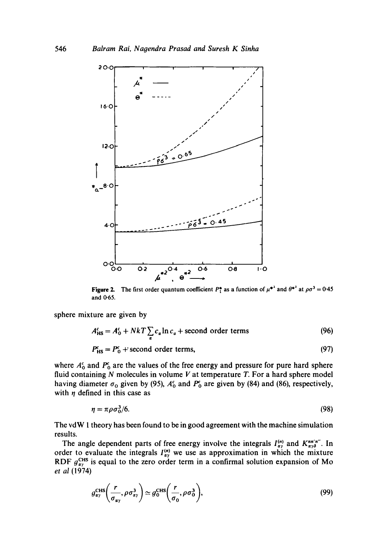

**Figure 2.** The first order quantum coefficient  $P_1^*$  as a function of  $\mu^*$  and  $\theta^*$  at  $\rho\sigma^3 = 0.45$ **and 0-65.** 

**sphere mixture are given by** 

$$
A_{\text{HS}}^c = A_0^c + NkT \sum_{\alpha} c_{\alpha} \ln c_{\alpha} + \text{second order terms}
$$
 (96)

$$
P_{\text{HS}}^{\text{c}} = P_0^{\text{c}} + \text{second order terms},\tag{97}
$$

where  $A_0^c$  and  $P_0^c$  are the values of the free energy and pressure for pure hard sphere **fluid containing N molecules in volume V at temperature T. For a hard sphere model**  having diameter  $\sigma_0$  given by (95),  $A_0^c$  and  $P_0^c$  are given by (84) and (86), respectively, with  $\eta$  defined in this case as

$$
\eta = \pi \rho \sigma_0^3 / 6. \tag{98}
$$

**The vdW I theory has been found to be in good agreement with the machine simulation results.** 

The angle dependent parts of free energy involve the integrals  $I_{\alpha\gamma}^{(n)}$  and  $K_{\alpha\gamma\delta}^{nn'n''}$ . In order to evaluate the integrals  $I_{xy}^{(n)}$  we use as approximation in which the mixture RDF  $g_{\mu\nu}^{\text{LHS}}$  is equal to the zero order term in a confirmal solution expansion of Mo *et al* (1974)

$$
g_{\alpha\gamma}^{\text{CHS}}\left(\frac{r}{\sigma_{\alpha\gamma}},\rho\sigma_{\alpha\gamma}^{3}\right)\simeq g_{0}^{\text{CHS}}\left(\frac{r}{\sigma_{0}},\rho\sigma_{0}^{3}\right),\tag{99}
$$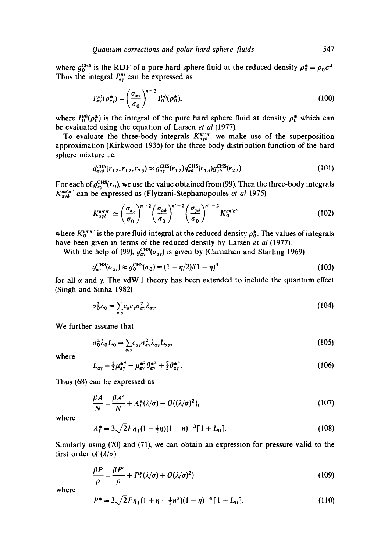where  $g_0^{\text{CHS}}$  is the RDF of a pure hard sphere fluid at the reduced density  $\rho_0^* = \rho_0 \sigma^3$ Thus the integral  $I_{\alpha y}^{(n)}$  can be expressed as

$$
I_{\alpha\gamma}^{(n)}(\rho_{\alpha\gamma}^*) = \left(\frac{\sigma_{\alpha\gamma}}{\sigma_0}\right)^{n-3} I_0^{(n)}(\rho_0^*),\tag{100}
$$

where  $I_0^{(n)}(\rho_0^*)$  is the integral of the pure hard sphere fluid at density  $\rho_0^*$  which can be evaluated using the equation of Larsen *et al* (1977).

To evaluate the three-body integrals  $K_{\alpha y\delta}^{n n'n''}$  we make use of the superposition approximation (Kirkwood 1935) for the three body distribution function of the hard sphere mixture i.e.

$$
g_{\alpha\gamma\delta}^{\text{CHS}}(r_{12}, r_{12}, r_{23}) \approx g_{\alpha\gamma}^{\text{CHS}}(r_{12}) g_{\alpha\delta}^{\text{CHS}}(r_{13}) g_{\gamma\delta}^{\text{CHS}}(r_{23}). \tag{101}
$$

For each of  $g_{xy}^{\text{CHS}}(r_{ij})$ , we use the value obtained from (99). Then the three-body integrals  $K_{\alpha\gamma\delta}^{n\pi'\pi''}$  can be expressed as (Flytzani-Stephanopoules *et al* 1975)

$$
K_{\alpha\gamma\delta}^{\min' n''} \simeq \left(\frac{\sigma_{\alpha\gamma}}{\sigma_0}\right)^{n-2} \left(\frac{\sigma_{\alpha\delta}}{\sigma_0}\right)^{n'-2} \left(\frac{\sigma_{\gamma\delta}}{\sigma_0}\right)^{n''-2} K_0^{\min' n''}
$$
(102)

where  $K_0^{mn'm''}$  is the pure fluid integral at the reduced density  $\rho_0^*$ . The values of integrals have been given in terms of the reduced density by Larsen *et al* (1977).

With the help of (99),  $g_{\alpha\gamma}^{\text{CHS}}(\sigma_{\alpha\gamma})$  is given by (Carnahan and Starling 1969)

$$
g_{\alpha\gamma}^{\text{CHS}}(\sigma_{\alpha\gamma}) \approx g_0^{\text{CHS}}(\sigma_0) = (1 - \eta/2)/(1 - \eta)^3
$$
 (103)

for all  $\alpha$  and  $\gamma$ . The vdW 1 theory has been extended to include the quantum effect (Singh and Sinha 1982)

$$
\sigma_0^2 \lambda_0 = \sum_{\alpha, \gamma} c_{\alpha} c_{\gamma} \sigma_{\alpha \gamma}^2 \lambda_{\alpha \gamma}.
$$
 (104)

**We** further assume that

$$
\sigma_0^2 \lambda_0 L_0 = \sum_{\alpha, \gamma} c_{\alpha \gamma} \sigma_{\alpha \gamma}^2 \lambda_{\alpha \gamma} L_{\alpha \gamma},
$$
\n(105)

where

$$
L_{\alpha\gamma} = \frac{1}{3}\mu_{\alpha\gamma}^{*^4} + \mu_{\alpha\gamma}^{*^2} \theta_{\alpha\gamma}^{*^2} + \frac{7}{5}\theta_{\alpha\gamma}^{*^4}.
$$
 (106)

Thus (68) can be expressed as

$$
\frac{\beta A}{N} = \frac{\beta A^c}{N} + A_I^*(\lambda/\sigma) + O((\lambda/\sigma)^2),\tag{107}
$$

where

$$
A_I^* = 3\sqrt{2}F\eta_1(1 - \frac{1}{2}\eta)(1 - \eta)^{-3}[1 + L_0].
$$
 (108)

Similarly using (70) and (71), we can obtain an expression for pressure valid to the first order of  $(\lambda/\sigma)$ 

$$
\frac{\beta P}{\rho} = \frac{\beta P^c}{\rho} + P_I^*(\lambda/\sigma) + O(\lambda/\sigma)^2)
$$
\n(109)

$$
P^* = 3\sqrt{2}F\eta_1(1+\eta-\frac{1}{2}\eta^2)(1-\eta)^{-4}[1+L_0].
$$
 (110)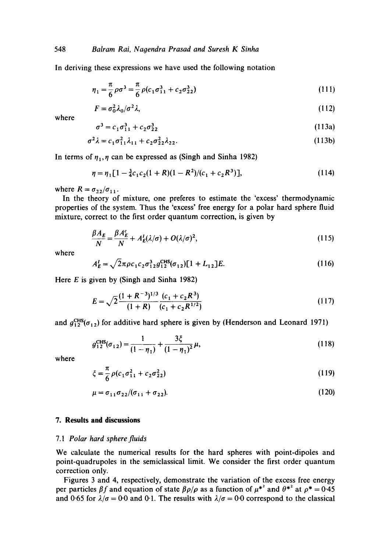In deriving these expressions we have used the following notation

$$
\eta_1 = \frac{\pi}{6} \rho \sigma^3 = \frac{\pi}{6} \rho (c_1 \sigma_{11}^3 + c_2 \sigma_{22}^3)
$$
 (111)

$$
F = \sigma_0^2 \lambda_0 / \sigma^2 \lambda,\tag{112}
$$

where

$$
\sigma^3 = c_1 \sigma_{11}^3 + c_2 \sigma_{22}^3 \tag{113a}
$$

$$
\sigma^2 \lambda = c_1 \sigma_{11}^2 \lambda_{11} + c_2 \sigma_{22}^2 \lambda_{22}.
$$
 (113b)

In terms of  $\eta_1$ ,  $\eta$  can be expressed as (Singh and Sinha 1982)

$$
\eta = \eta_1 [1 - \frac{3}{4} c_1 c_2 (1 + R)(1 - R^2)/(c_1 + c_2 R^3)], \qquad (114)
$$

where  $R = \sigma_{22}/\sigma_{11}$ .

In the theory of mixture, one preferes to estimate the 'excess' thermodynamic properties of the system. Thus the 'excess' free energy for a polar hard sphere fluid mixture, correct to the first order quantum correction, is given by

$$
\frac{\beta A_E}{N} = \frac{\beta A_E^c}{N} + A_E^l (\lambda/\sigma) + O(\lambda/\sigma)^2,
$$
\n(115)

where

$$
A_E^I = \sqrt{2}\pi \rho c_1 c_2 \sigma_{12}^3 g_{12}^{\text{CHS}}(\sigma_{12}) [1 + L_{12}] E.
$$
 (116)

Here  $E$  is given by (Singh and Sinha 1982)

$$
E = \sqrt{2} \frac{(1 + R^{-3})^{1/3}}{(1 + R)} \frac{(c_1 + c_2 R^3)}{(c_1 + c_2 R^{1/2})}
$$
(117)

and  $g_{12}^{\text{CHS}}(\sigma_{12})$  for additive hard sphere is given by (Henderson and Leonard 1971)

$$
g_{12}^{\text{CHS}}(\sigma_{12}) = \frac{1}{(1 - \eta_1)} + \frac{3\xi}{(1 - \eta_1)^2} \mu,
$$
\n(118)

where

$$
\xi = \frac{\pi}{6} \rho (c_1 \sigma_{11}^2 + c_2 \sigma_{22}^2)
$$
 (119)

$$
\mu = \sigma_{11} \sigma_{22} / (\sigma_{11} + \sigma_{22}). \tag{120}
$$

### **7. Results and discussions**

#### *7.1 Polar hard sphere fluids*

We calculate the numerical results for the hard spheres with point-dipoles and point-quadrupoles in the semiclassical limit. We consider the first order quantum correction only.

Figures 3 and 4, respectively, demonstrate the variation of the excess free energy per particles  $\beta f$  and equation of state  $\beta \rho / \rho$  as a function of  $\mu^{*2}$  and  $\theta^{*2}$  at  $\rho^{*} = 0.45$ and 0.65 for  $\lambda/\sigma = 0.0$  and 0.1. The results with  $\lambda/\sigma = 0.0$  correspond to the classical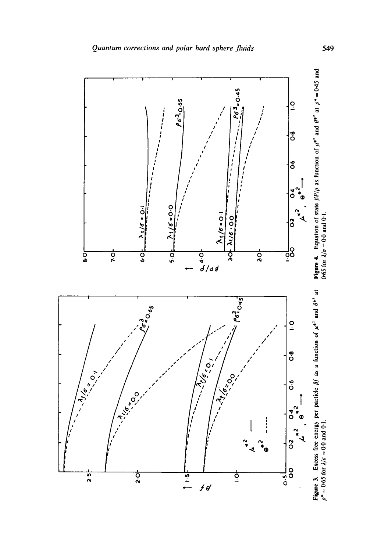

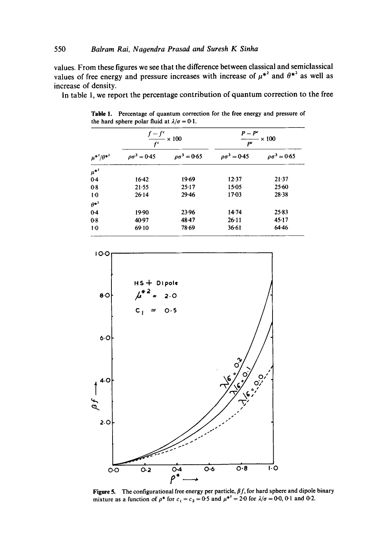values. From these figures we see that the difference between classical and semiclassical values of free energy and pressure increases with increase of  $\mu^{*2}$  and  $\theta^{*2}$  as well as increase of density.

In table 1, we report the percentage contribution of quantum correction to the free

| $\mu^{*^2}/\theta^{*^2}$ | $\frac{f-f^c}{\sqrt{1-\frac{f^c}{c}}} \times 100$<br>$f^c$ |                        | $P-P^c$<br>$\times 100$<br>P <sup>c</sup> |                           |
|--------------------------|------------------------------------------------------------|------------------------|-------------------------------------------|---------------------------|
|                          | $\rho \sigma^3 = 0.45$                                     | $\rho \sigma^3 = 0.65$ | $\rho \sigma^3 = 0.45$                    | $\varrho \sigma^3 = 0.65$ |
| $\mu^{*^2}$              |                                                            |                        |                                           |                           |
| 0.4                      | $16-42$                                                    | 19.69                  | 12.37                                     | 21.37                     |
| 0.8                      | 21.55                                                      | 25.17                  | $15 - 05$                                 | 25:60                     |
| $1-0$                    | 26:14                                                      | $29 - 46$              | $17 - 03$                                 | $28 - 38$                 |
| $\theta^{*^2}$           |                                                            |                        |                                           |                           |
| 0.4                      | 19.90                                                      | 23.96                  | 14.74                                     | 25.83                     |
| 0.8                      | 40.97                                                      | 48.47                  | $26 - 11$                                 | 45.17                     |
| $1-0$                    | 69.10                                                      | 78.69                  | 36.61                                     | 64.46                     |

Table 1. Percentage of quantum correction for the free energy and pressure of the hard sphere polar fluid at  $\lambda/\sigma = 0.1$ .



Figure 5. The configurational free energy per particle,  $\beta f$ , for hard sphere and dipole binary mixture as a function of  $\rho^*$  for  $c_1 = c_2 = 0.5$  and  $\mu^{*2} = 2.0$  for  $\lambda/\sigma = 0.0$ , 0.1 and 0.2.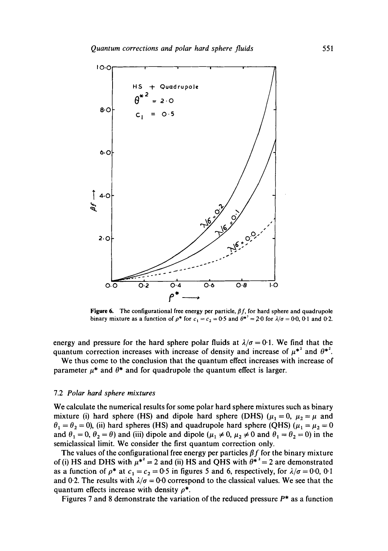

**Figure 6.** The configurational free energy per particle,  $\beta f$ , for hard sphere and quadrupole binary mixture as a function of  $\rho^*$  for  $c_1 = c_2 = 0.5$  and  $\theta^{*2} = 2.0$  for  $\lambda/\sigma = 0.0$ , 0.1 and 0.2.

energy and pressure for the hard sphere polar fluids at  $\lambda/\sigma = 0.1$ . We find that the quantum correction increases with increase of density and increase of  $\mu^{*2}$  and  $\theta^{*2}$ .

We thus come to the conclusion that the quantum effect increases with increase of parameter  $\mu^*$  and  $\theta^*$  and for quadrupole the quantum effect is larger.

### 7.2 *Polar hard sphere mixtures*

We calculate the numerical results for some polar hard sphere mixtures such as binary mixture (i) hard sphere (HS) and dipole hard sphere (DHS) ( $\mu_1 = 0$ ,  $\mu_2 = \mu$  and  $\theta_1 = \theta_2 = 0$ ), (ii) hard spheres (HS) and quadrupole hard sphere (QHS) ( $\mu_1 = \mu_2 = 0$ and  $\theta_1 = 0$ ,  $\theta_2 = \theta$ ) and (iii) dipole and dipole ( $\mu_1 \neq 0$ ,  $\mu_2 \neq 0$  and  $\theta_1 = \theta_2 = 0$ ) in the semiclassical limit. We consider the first quantum correction only.

The values of the configurational free energy per particles  $\beta f$  for the binary mixture of (i) HS and DHS with  $\mu^* = 2$  and (ii) HS and QHS with  $\theta^* = 2$  are demonstrated as a function of  $\rho^*$  at  $c_1 = c_2 = 0.5$  in figures 5 and 6, respectively, for  $\lambda/\sigma = 0.0$ , 0.1 and 0.2. The results with  $\lambda/\sigma = 0.0$  correspond to the classical values. We see that the quantum effects increase with density  $\rho^*$ .

Figures 7 and 8 demonstrate the variation of the reduced pressure  $P^*$  as a function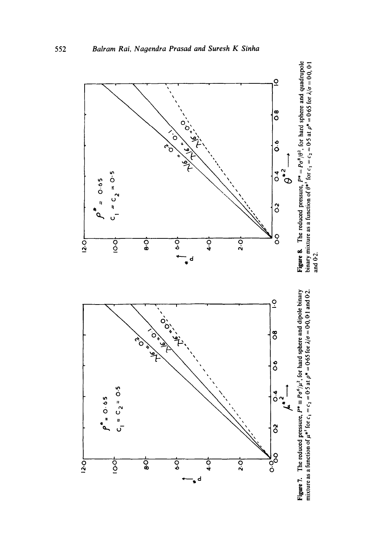



**Figure 8.** The reduced pressure,  $P^* = P\sigma^B/\theta^2$ , for hard sphere and quadrupole binary mixture as a function of  $\theta^{*2}$  for  $c_1 = c_2 = 0.5$  at  $\rho^* = 0.65$  for  $\lambda/\sigma = 0.00$ ,  $0.1$  and  $0.2$ .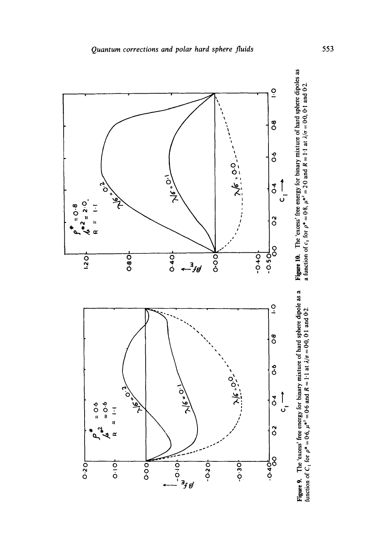

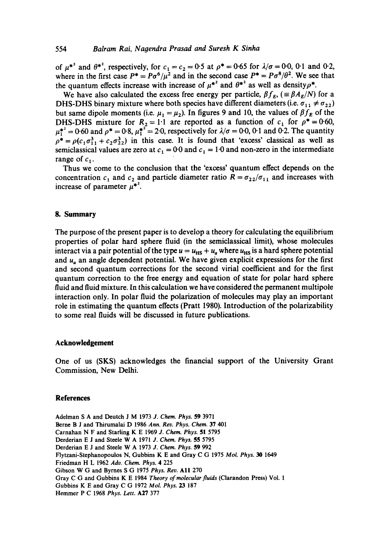of  $\mu^{*2}$  and  $\theta^{*2}$ , respectively, for  $c_1 = c_2 = 0.5$  at  $\rho^* = 0.65$  for  $\lambda/\sigma = 0.0$ , 0.1 and 0.2, where in the first case  $P^* = P\sigma^6/\mu^2$  and in the second case  $P^* = P\sigma^8/\theta^2$ . We see that the quantum effects increase with increase of  $\mu^{*2}$  and  $\theta^{*2}$  as well as density  $\rho^*$ .

We have also calculated the excess free energy per particle,  $\beta f_E$ , ( $\equiv \beta A_E/N$ ) for a DHS-DHS binary mixture where both species have different diameters (i.e.  $\sigma_{11} \neq \sigma_{22}$ ) but same dipole moments (i.e.  $\mu_1 = \mu_2$ ). In figures 9 and 10, the values of  $\beta f_E$  of the DHS-DHS mixture for  $R_2 = 1.1$  are reported as a function of  $c_1$  for  $\rho^* = 0.60$ ,  $\mu_1^{*2} = 0.60$  and  $\rho^* = 0.8$ ,  $\mu_1^{*2} = 2.0$ , respectively for  $\lambda/\sigma = 0.0$ , 0.1 and 0.2. The quantity  $\rho^* = \rho(c_1 \sigma_{11}^3 + c_2 \sigma_{22}^3)$  in this case. It is found that 'excess' classical as well as semiclassical values are zero at  $c_1 = 0.0$  and  $c_1 = 1.0$  and non-zero in the intermediate range of  $c_1$ .

Thus we come to the conclusion that the 'excess' quantum effect depends on the concentration  $c_1$  and  $c_2$  and particle diameter ratio  $R = \sigma_{22}/\sigma_{11}$  and increases with increase of parameter  $\mu^*$ <sup>2</sup>.

#### **8. Summary**

The purpose of the present paper is to develop a theory for calculating the equilibrium properties of polar hard sphere fluid (in the semiclassical limit), whose molecules interact via a pair potential of the type  $u = u_{HS} + u_a$  where  $u_{HS}$  is a hard sphere potential and  $u_a$  an angle dependent potential. We have given explicit expressions for the first and second quantum corrections for the second virial coefficient and for the first quantum correction to the free energy and equation of state for polar hard sphere fluid and fluid mixture. In this calculation we have considered the permanent multipole interaction only. In polar fluid the polarization of molecules may play an important role in estimating the quantum effects (Pratt 1980). Introduction of the polarizability to some real fluids will be discussed in future publications.

#### **Acknowledgement**

One of us (SKS) acknowledges the financial support of the University Grant Commission, New Delhi.

#### **References**

Adelman S A and Deutch J M 1973 *J. Chem. Phys.* 59 3971 Berne B J and Thirumalai D 1986 *Ann. Rev. Phys. Chem.* 37 401 Carnahan N F and Starling K E 1969 *J. Chem. Phys.* 51 5795 Derderian E J and Steele W A 1971 *J. Chem. Phys.* 55 5795 Derderian E J and Steele W A 1973 *J. Chem. Phys.* 59 992 Flytzani-Stephanopoulos N, Gubbins K E and Gray C G 1975 *Mol. Phys. 30* 1649 Friedman H L 1962 *Adv. Chem. Phys.* 4 225 Gibson W G and Byrnes S G 1975 *Phys. Rev.* All 270 Gray C G and Gubbins K E 1984 *Theory of molecular fluids* (Clarandon Press) Vol. 1 Gubbins K E and Gray C G 1972 *Mol. Phys. 23* 187 Hemmer P C 1968 *Phys. Lett.* A27 377